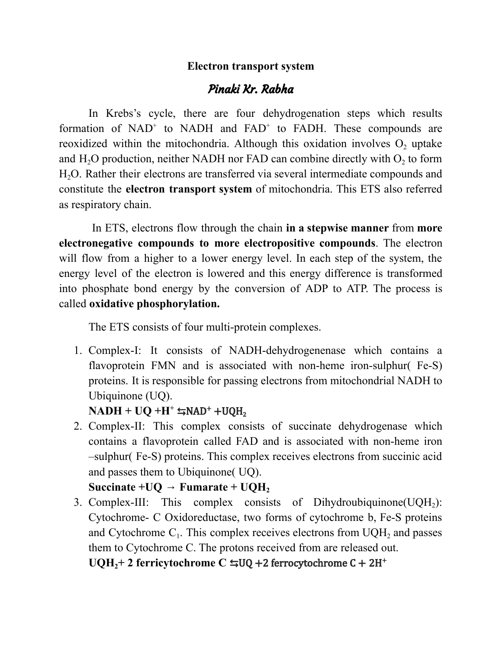## **Electron transport system**

## Pinaki Kr. Rabha

In Krebs's cycle, there are four dehydrogenation steps which results formation of  $NAD<sup>+</sup>$  to  $NADH$  and  $FAD<sup>+</sup>$  to  $FADH$ . These compounds are reoxidized within the mitochondria. Although this oxidation involves  $O_2$  uptake and  $H_2O$  production, neither NADH nor FAD can combine directly with  $O_2$  to form H2O. Rather their electrons are transferred via several intermediate compounds and constitute the **electron transport system** of mitochondria. This ETS also referred as respiratory chain.

In ETS, electrons flow through the chain **in a stepwise manner** from **more electronegative compounds to more electropositive compounds**. The electron will flow from a higher to a lower energy level. In each step of the system, the energy level of the electron is lowered and this energy difference is transformed into phosphate bond energy by the conversion of ADP to ATP. The process is called **oxidative phosphorylation.**

The ETS consists of four multi-protein complexes.

1. Complex-I: It consists of NADH-dehydrogenenase which contains a flavoprotein FMN and is associated with non-heme iron-sulphur( Fe-S) proteins. It is responsible for passing electrons from mitochondrial NADH to Ubiquinone (UQ).

## $NADH + UQ + H^+$   $\leftrightarrows NAD^+ + UQH_2$

2. Complex-II: This complex consists of succinate dehydrogenase which contains a flavoprotein called FAD and is associated with non-heme iron –sulphur( Fe-S) proteins. This complex receives electrons from succinic acid and passes them to Ubiquinone( UQ).

## **Succinate**  $+UQ \rightarrow$  **Fumarate**  $+ UQH$ <sup>2</sup>

3. Complex-III: This complex consists of Dihydroubiquinone(UQH<sub>2</sub>): Cytochrome- C Oxidoreductase, two forms of cytochrome b, Fe-S proteins and Cytochrome  $C_1$ . This complex receives electrons from  $UQH_2$  and passes them to Cytochrome C. The protons received from are released out.

**UQH2+ 2 ferricytochrome C** ⇆UQ +2 ferrocytochrome C + 2H +